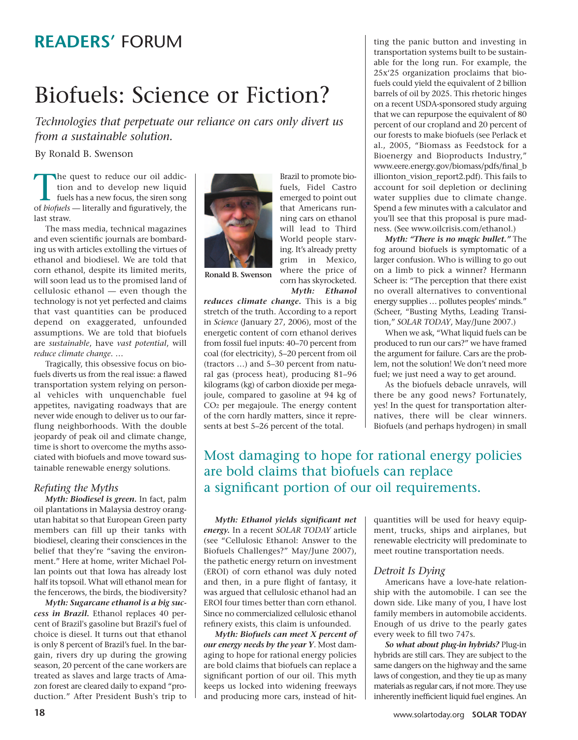## **READERS'** FORUM

# Biofuels: Science or Fiction?

*Technologies that perpetuate our reliance on cars only divert us from a sustainable solution.*

By Ronald B. Swenson

The quest to reduce our oil addiction and to develop new liquid fuels has a new focus, the siren song of *biofuels* — literally and figuratively, the last straw.

The mass media, technical magazines and even scientific journals are bombarding us with articles extolling the virtues of ethanol and biodiesel. We are told that corn ethanol, despite its limited merits, will soon lead us to the promised land of cellulosic ethanol — even though the technology is not yet perfected and claims that vast quantities can be produced depend on exaggerated, unfounded assumptions. We are told that biofuels are *sustainable*, have *vast potential*, will *reduce climate change*. …

Tragically, this obsessive focus on biofuels diverts us from the real issue: a flawed transportation system relying on personal vehicles with unquenchable fuel appetites, navigating roadways that are never wide enough to deliver us to our farflung neighborhoods. With the double jeopardy of peak oil and climate change, time is short to overcome the myths associated with biofuels and move toward sustainable renewable energy solutions.

## *Refuting the Myths*

*Myth: Biodiesel is green.* In fact, palm oil plantations in Malaysia destroy orangutan habitat so that European Green party members can fill up their tanks with biodiesel, clearing their consciences in the belief that they're "saving the environment." Here at home, writer Michael Pollan points out that Iowa has already lost half its topsoil. What will ethanol mean for the fencerows, the birds, the biodiversity?

*Myth: Sugarcane ethanol is a big success in Brazil.* Ethanol replaces 40 percent of Brazil's gasoline but Brazil's fuel of choice is diesel. It turns out that ethanol is only 8 percent of Brazil's fuel. In the bargain, rivers dry up during the growing season, 20 percent of the cane workers are treated as slaves and large tracts of Amazon forest are cleared daily to expand "production." After President Bush's trip to



Brazil to promote biofuels, Fidel Castro emerged to point out that Americans running cars on ethanol will lead to Third World people starving. It's already pretty grim in Mexico, where the price of corn has skyrocketed. *Myth: Ethanol*

**Ronald B. Swenson**

*reduces climate change.* This is a big stretch of the truth. According to a report in *Science* (January 27, 2006), most of the energetic content of corn ethanol derives from fossil fuel inputs: 40–70 percent from coal (for electricity), 5–20 percent from oil (tractors …) and 5–30 percent from natural gas (process heat), producing 81–96 kilograms (kg) of carbon dioxide per megajoule, compared to gasoline at 94 kg of CO2 per megajoule. The energy content of the corn hardly matters, since it represents at best 5–26 percent of the total.

ting the panic button and investing in transportation systems built to be sustainable for the long run. For example, the 25x'25 organization proclaims that biofuels could yield the equivalent of 2 billion barrels of oil by 2025. This rhetoric hinges on a recent USDA-sponsored study arguing that we can repurpose the equivalent of 80 percent of our cropland and 20 percent of our forests to make biofuels (see Perlack et al., 2005, "Biomass as Feedstock for a Bioenergy and Bioproducts Industry," www.eere.energy.gov/biomass/pdfs/final\_b illionton\_vision\_report2.pdf). This fails to account for soil depletion or declining water supplies due to climate change. Spend a few minutes with a calculator and you'll see that this proposal is pure madness. (See www.oilcrisis.com/ethanol.)

*Myth: "There is no magic bullet."* The fog around biofuels is symptomatic of a larger confusion. Who is willing to go out on a limb to pick a winner? Hermann Scheer is: "The perception that there exist no overall alternatives to conventional energy supplies … pollutes peoples' minds." (Scheer, "Busting Myths, Leading Transition," *SOLAR TODAY*, May/June 2007.)

When we ask, "What liquid fuels can be produced to run our cars?" we have framed the argument for failure. Cars are the problem, not the solution! We don't need more fuel; we just need a way to get around.

As the biofuels debacle unravels, will there be any good news? Fortunately, yes! In the quest for transportation alternatives, there will be clear winners. Biofuels (and perhaps hydrogen) in small

## Most damaging to hope for rational energy policies are bold claims that biofuels can replace a significant portion of our oil requirements.

*Myth: Ethanol yields significant net energy.* In a recent *SOLAR TODAY* article (see "Cellulosic Ethanol: Answer to the Biofuels Challenges?" May/June 2007), the pathetic energy return on investment (EROI) of corn ethanol was duly noted and then, in a pure flight of fantasy, it was argued that cellulosic ethanol had an EROI four times better than corn ethanol. Since no commercialized cellulosic ethanol refinery exists, this claim is unfounded.

*Myth: Biofuels can meet X percent of our energy needs by the year Y*. Most damaging to hope for rational energy policies are bold claims that biofuels can replace a significant portion of our oil. This myth keeps us locked into widening freeways and producing more cars, instead of hitquantities will be used for heavy equipment, trucks, ships and airplanes, but renewable electricity will predominate to meet routine transportation needs.

#### *Detroit Is Dying*

Americans have a love-hate relationship with the automobile. I can see the down side. Like many of you, I have lost family members in automobile accidents. Enough of us drive to the pearly gates every week to fill two 747s.

*So what about plug-in hybrids?* Plug-in hybrids are still cars. They are subject to the same dangers on the highway and the same laws of congestion, and they tie up as many materials as regular cars, if not more. They use inherently inefficient liquid fuel engines. An